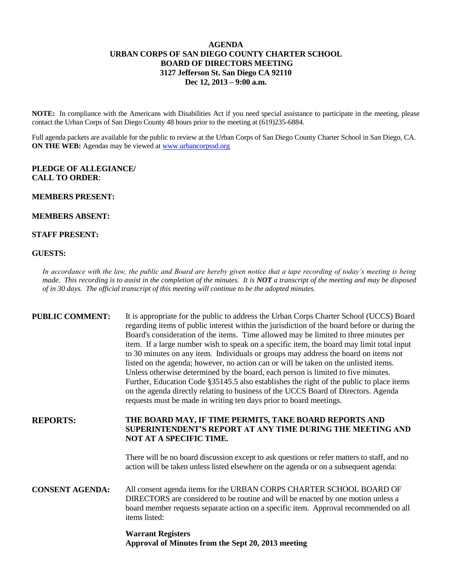#### **AGENDA URBAN CORPS OF SAN DIEGO COUNTY CHARTER SCHOOL BOARD OF DIRECTORS MEETING 3127 Jefferson St. San Diego CA 92110 Dec 12, 2013 – 9:00 a.m.**

**NOTE:** In compliance with the Americans with Disabilities Act if you need special assistance to participate in the meeting, please contact the Urban Corps of San Diego County 48 hours prior to the meeting at (619)235-6884.

Full agenda packets are available for the public to review at the Urban Corps of San Diego County Charter School in San Diego, CA. **ON THE WEB:** Agendas may be viewed at [www.urbancorpssd.org](http://www.urbancorpssd.org/)

#### **PLEDGE OF ALLEGIANCE/ CALL TO ORDER**:

### **MEMBERS PRESENT:**

#### **MEMBERS ABSENT:**

#### **STAFF PRESENT:**

#### **GUESTS:**

*In accordance with the law, the public and Board are hereby given notice that a tape recording of today's meeting is being made. This recording is to assist in the completion of the minutes. It is NOT a transcript of the meeting and may be disposed of in 30 days. The official transcript of this meeting will continue to be the adopted minutes.*

# **PUBLIC COMMENT:** It is appropriate for the public to address the Urban Corps Charter School (UCCS) Board regarding items of public interest within the jurisdiction of the board before or during the Board's consideration of the items. Time allowed may be limited to three minutes per item. If a large number wish to speak on a specific item, the board may limit total input to 30 minutes on any item. Individuals or groups may address the board on items not listed on the agenda; however, no action can or will be taken on the unlisted items. Unless otherwise determined by the board, each person is limited to five minutes. Further, Education Code §35145.5 also establishes the right of the public to place items on the agenda directly relating to business of the UCCS Board of Directors. Agenda requests must be made in writing ten days prior to board meetings.

**REPORTS: THE BOARD MAY, IF TIME PERMITS, TAKE BOARD REPORTS AND SUPERINTENDENT'S REPORT AT ANY TIME DURING THE MEETING AND NOT AT A SPECIFIC TIME.**

> There will be no board discussion except to ask questions or refer matters to staff, and no action will be taken unless listed elsewhere on the agenda or on a subsequent agenda:

**CONSENT AGENDA:** All consent agenda items for the URBAN CORPS CHARTER SCHOOL BOARD OF DIRECTORS are considered to be routine and will be enacted by one motion unless a board member requests separate action on a specific item. Approval recommended on all items listed:

## **Warrant Registers Approval of Minutes from the Sept 20, 2013 meeting**